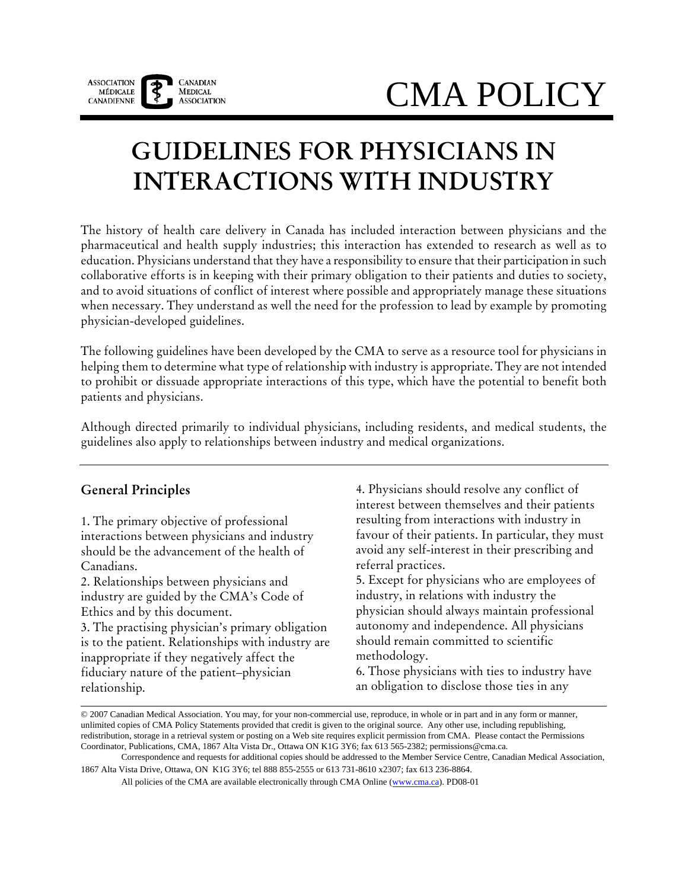

# CMA POLICY

## **GUIDELINES FOR PHYSICIANS IN INTERACTIONS WITH INDUSTRY**

The history of health care delivery in Canada has included interaction between physicians and the pharmaceutical and health supply industries; this interaction has extended to research as well as to education. Physicians understand that they have a responsibility to ensure that their participation in such collaborative efforts is in keeping with their primary obligation to their patients and duties to society, and to avoid situations of conflict of interest where possible and appropriately manage these situations when necessary. They understand as well the need for the profession to lead by example by promoting physician-developed guidelines.

The following guidelines have been developed by the CMA to serve as a resource tool for physicians in helping them to determine what type of relationship with industry is appropriate. They are not intended to prohibit or dissuade appropriate interactions of this type, which have the potential to benefit both patients and physicians.

Although directed primarily to individual physicians, including residents, and medical students, the guidelines also apply to relationships between industry and medical organizations.

#### **General Principles**

1. The primary objective of professional interactions between physicians and industry should be the advancement of the health of Canadians.

2. Relationships between physicians and industry are guided by the CMA's Code of Ethics and by this document.

3. The practising physician's primary obligation is to the patient. Relationships with industry are inappropriate if they negatively affect the fiduciary nature of the patient–physician relationship.

4. Physicians should resolve any conflict of interest between themselves and their patients resulting from interactions with industry in favour of their patients. In particular, they must avoid any self-interest in their prescribing and referral practices.

5. Except for physicians who are employees of industry, in relations with industry the physician should always maintain professional autonomy and independence. All physicians should remain committed to scientific methodology.

6. Those physicians with ties to industry have an obligation to disclose those ties in any

All policies of the CMA are available electronically through CMA Online (www.cma.ca). PD08-01

<sup>© 2007</sup> Canadian Medical Association. You may, for your non-commercial use, reproduce, in whole or in part and in any form or manner, unlimited copies of CMA Policy Statements provided that credit is given to the original source. Any other use, including republishing, redistribution, storage in a retrieval system or posting on a Web site requires explicit permission from CMA. Please contact the Permissions Coordinator, Publications, CMA, 1867 Alta Vista Dr., Ottawa ON K1G 3Y6; fax 613 565-2382; permissions@cma.ca.

Correspondence and requests for additional copies should be addressed to the Member Service Centre, Canadian Medical Association, 1867 Alta Vista Drive, Ottawa, ON K1G 3Y6; tel 888 855-2555 or 613 731-8610 x2307; fax 613 236-8864.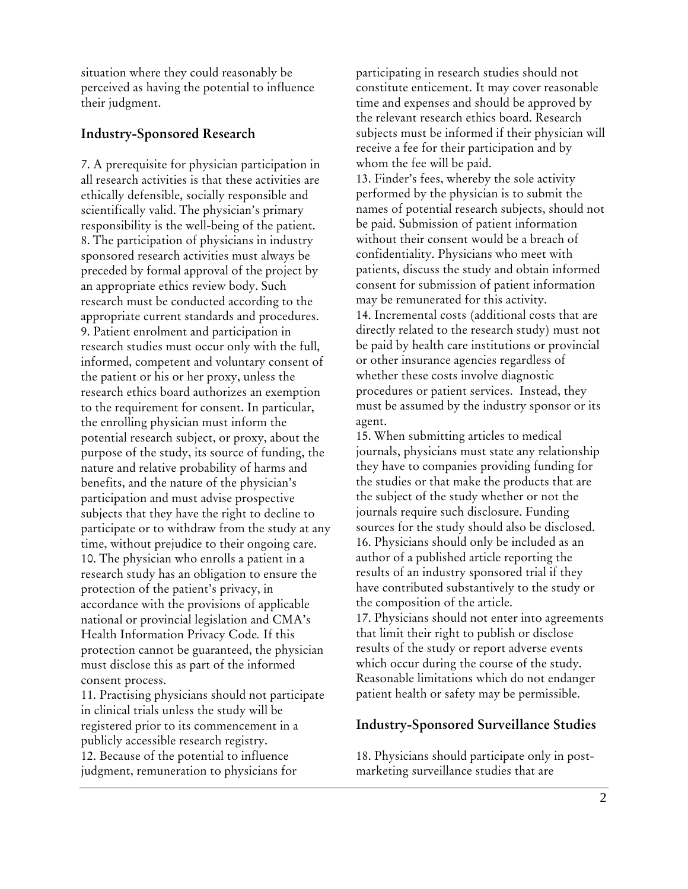situation where they could reasonably be perceived as having the potential to influence their judgment.

#### **Industry-Sponsored Research**

7. A prerequisite for physician participation in all research activities is that these activities are ethically defensible, socially responsible and scientifically valid. The physician's primary responsibility is the well-being of the patient. 8. The participation of physicians in industry sponsored research activities must always be preceded by formal approval of the project by an appropriate ethics review body. Such research must be conducted according to the appropriate current standards and procedures. 9. Patient enrolment and participation in research studies must occur only with the full, informed, competent and voluntary consent of the patient or his or her proxy, unless the research ethics board authorizes an exemption to the requirement for consent. In particular, the enrolling physician must inform the potential research subject, or proxy, about the purpose of the study, its source of funding, the nature and relative probability of harms and benefits, and the nature of the physician's participation and must advise prospective subjects that they have the right to decline to participate or to withdraw from the study at any time, without prejudice to their ongoing care. 10. The physician who enrolls a patient in a research study has an obligation to ensure the protection of the patient's privacy, in accordance with the provisions of applicable national or provincial legislation and CMA's Health Information Privacy Code*.* If this protection cannot be guaranteed, the physician must disclose this as part of the informed consent process.

11. Practising physicians should not participate in clinical trials unless the study will be registered prior to its commencement in a publicly accessible research registry. 12. Because of the potential to influence judgment, remuneration to physicians for

participating in research studies should not constitute enticement. It may cover reasonable time and expenses and should be approved by the relevant research ethics board. Research subjects must be informed if their physician will receive a fee for their participation and by whom the fee will be paid. 13. Finder's fees, whereby the sole activity performed by the physician is to submit the names of potential research subjects, should not be paid. Submission of patient information without their consent would be a breach of confidentiality. Physicians who meet with patients, discuss the study and obtain informed consent for submission of patient information may be remunerated for this activity. 14. Incremental costs (additional costs that are directly related to the research study) must not be paid by health care institutions or provincial or other insurance agencies regardless of whether these costs involve diagnostic procedures or patient services. Instead, they must be assumed by the industry sponsor or its agent.

15. When submitting articles to medical journals, physicians must state any relationship they have to companies providing funding for the studies or that make the products that are the subject of the study whether or not the journals require such disclosure. Funding sources for the study should also be disclosed. 16. Physicians should only be included as an author of a published article reporting the results of an industry sponsored trial if they have contributed substantively to the study or the composition of the article.

17. Physicians should not enter into agreements that limit their right to publish or disclose results of the study or report adverse events which occur during the course of the study. Reasonable limitations which do not endanger patient health or safety may be permissible.

#### **Industry-Sponsored Surveillance Studies**

18. Physicians should participate only in postmarketing surveillance studies that are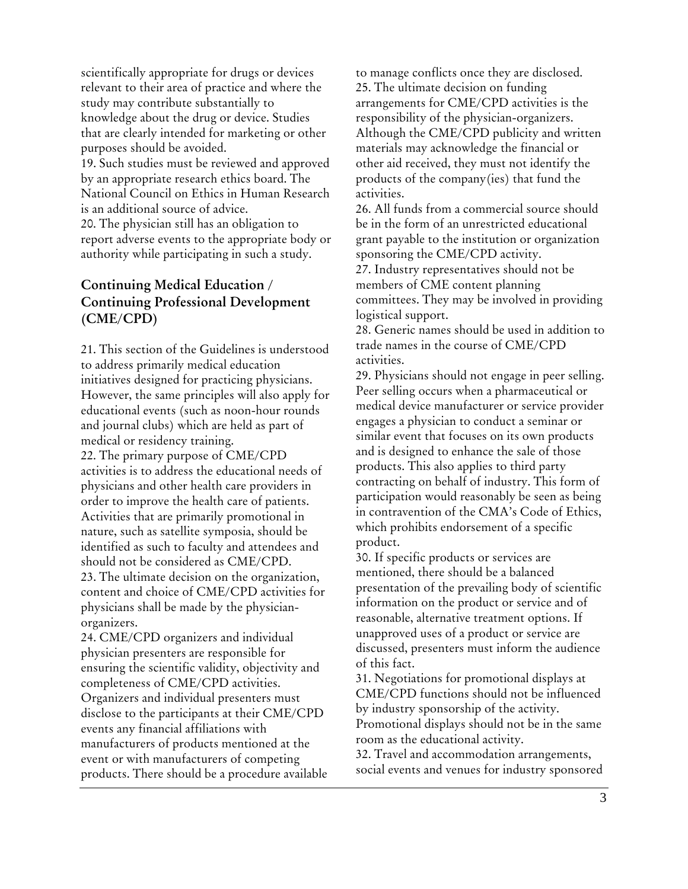scientifically appropriate for drugs or devices relevant to their area of practice and where the study may contribute substantially to knowledge about the drug or device. Studies that are clearly intended for marketing or other purposes should be avoided. 19. Such studies must be reviewed and approved by an appropriate research ethics board. The National Council on Ethics in Human Research is an additional source of advice. 20. The physician still has an obligation to report adverse events to the appropriate body or authority while participating in such a study.

### **Continuing Medical Education / Continuing Professional Development (CME/CPD)**

21. This section of the Guidelines is understood to address primarily medical education initiatives designed for practicing physicians. However, the same principles will also apply for educational events (such as noon-hour rounds and journal clubs) which are held as part of medical or residency training. 22. The primary purpose of CME/CPD activities is to address the educational needs of physicians and other health care providers in order to improve the health care of patients. Activities that are primarily promotional in nature, such as satellite symposia, should be identified as such to faculty and attendees and should not be considered as CME/CPD. 23. The ultimate decision on the organization, content and choice of CME/CPD activities for physicians shall be made by the physicianorganizers.

24. CME/CPD organizers and individual physician presenters are responsible for ensuring the scientific validity, objectivity and completeness of CME/CPD activities. Organizers and individual presenters must disclose to the participants at their CME/CPD events any financial affiliations with manufacturers of products mentioned at the event or with manufacturers of competing products. There should be a procedure available

to manage conflicts once they are disclosed. 25. The ultimate decision on funding arrangements for CME/CPD activities is the responsibility of the physician-organizers. Although the CME/CPD publicity and written materials may acknowledge the financial or other aid received, they must not identify the products of the company(ies) that fund the activities.

26. All funds from a commercial source should be in the form of an unrestricted educational grant payable to the institution or organization sponsoring the CME/CPD activity. 27. Industry representatives should not be members of CME content planning committees. They may be involved in providing logistical support.

28. Generic names should be used in addition to trade names in the course of CME/CPD activities.

29. Physicians should not engage in peer selling. Peer selling occurs when a pharmaceutical or medical device manufacturer or service provider engages a physician to conduct a seminar or similar event that focuses on its own products and is designed to enhance the sale of those products. This also applies to third party contracting on behalf of industry. This form of participation would reasonably be seen as being in contravention of the CMA's Code of Ethics, which prohibits endorsement of a specific product.

30. If specific products or services are mentioned, there should be a balanced presentation of the prevailing body of scientific information on the product or service and of reasonable, alternative treatment options. If unapproved uses of a product or service are discussed, presenters must inform the audience of this fact.

31. Negotiations for promotional displays at CME/CPD functions should not be influenced by industry sponsorship of the activity. Promotional displays should not be in the same room as the educational activity.

32. Travel and accommodation arrangements, social events and venues for industry sponsored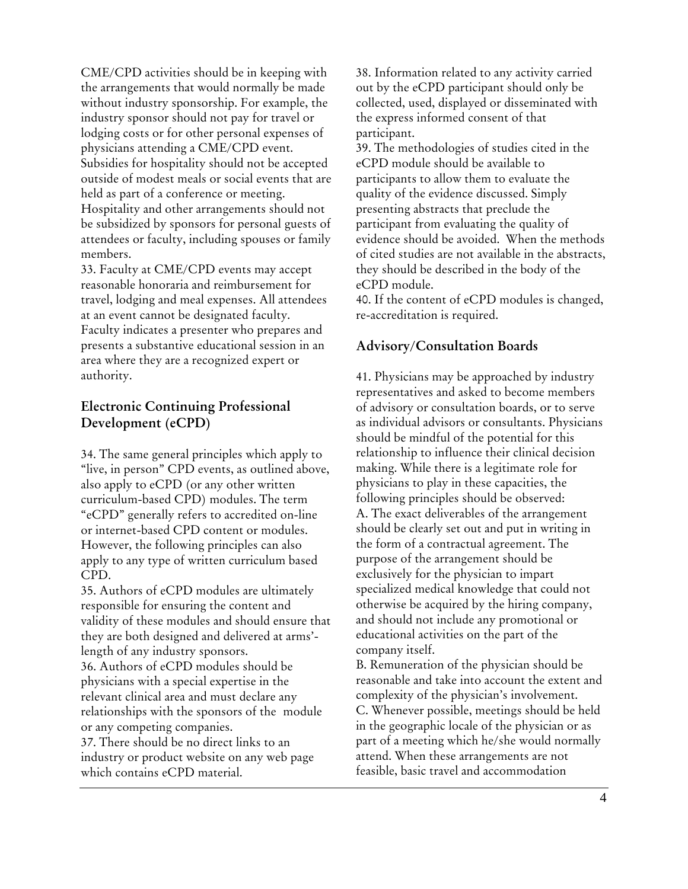CME/CPD activities should be in keeping with the arrangements that would normally be made without industry sponsorship. For example, the industry sponsor should not pay for travel or lodging costs or for other personal expenses of physicians attending a CME/CPD event. Subsidies for hospitality should not be accepted outside of modest meals or social events that are held as part of a conference or meeting. Hospitality and other arrangements should not be subsidized by sponsors for personal guests of attendees or faculty, including spouses or family members.

33. Faculty at CME/CPD events may accept reasonable honoraria and reimbursement for travel, lodging and meal expenses. All attendees at an event cannot be designated faculty. Faculty indicates a presenter who prepares and presents a substantive educational session in an area where they are a recognized expert or authority.

#### **Electronic Continuing Professional Development (eCPD)**

34. The same general principles which apply to "live, in person" CPD events, as outlined above, also apply to eCPD (or any other written curriculum-based CPD) modules. The term "eCPD" generally refers to accredited on-line or internet-based CPD content or modules. However, the following principles can also apply to any type of written curriculum based CPD.

35. Authors of eCPD modules are ultimately responsible for ensuring the content and validity of these modules and should ensure that they are both designed and delivered at arms' length of any industry sponsors.

36. Authors of eCPD modules should be physicians with a special expertise in the relevant clinical area and must declare any relationships with the sponsors of the module or any competing companies.

37. There should be no direct links to an industry or product website on any web page which contains eCPD material.

38. Information related to any activity carried out by the eCPD participant should only be collected, used, displayed or disseminated with the express informed consent of that participant.

39. The methodologies of studies cited in the eCPD module should be available to participants to allow them to evaluate the quality of the evidence discussed. Simply presenting abstracts that preclude the participant from evaluating the quality of evidence should be avoided. When the methods of cited studies are not available in the abstracts, they should be described in the body of the eCPD module.

40. If the content of eCPD modules is changed, re-accreditation is required.

#### **Advisory/Consultation Boards**

41. Physicians may be approached by industry representatives and asked to become members of advisory or consultation boards, or to serve as individual advisors or consultants. Physicians should be mindful of the potential for this relationship to influence their clinical decision making. While there is a legitimate role for physicians to play in these capacities, the following principles should be observed: A. The exact deliverables of the arrangement should be clearly set out and put in writing in the form of a contractual agreement. The purpose of the arrangement should be exclusively for the physician to impart specialized medical knowledge that could not otherwise be acquired by the hiring company, and should not include any promotional or educational activities on the part of the company itself.

B. Remuneration of the physician should be reasonable and take into account the extent and complexity of the physician's involvement. C. Whenever possible, meetings should be held in the geographic locale of the physician or as part of a meeting which he/she would normally attend. When these arrangements are not feasible, basic travel and accommodation